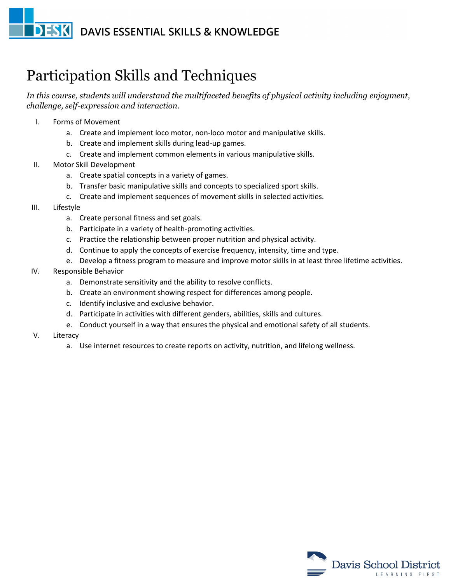## **DESK** DAVIS ESSENTIAL SKILLS & KNOWLEDGE

## Participation Skills and Techniques

*In this course, students will understand the multifaceted benefits of physical activity including enjoyment, challenge, self-expression and interaction.*

- I. Forms of Movement
	- a. Create and implement loco motor, non-loco motor and manipulative skills.
	- b. Create and implement skills during lead-up games.
	- c. Create and implement common elements in various manipulative skills.
- II. Motor Skill Development
	- a. Create spatial concepts in a variety of games.
	- b. Transfer basic manipulative skills and concepts to specialized sport skills.
	- c. Create and implement sequences of movement skills in selected activities.
- III. Lifestyle
	- a. Create personal fitness and set goals.
	- b. Participate in a variety of health-promoting activities.
	- c. Practice the relationship between proper nutrition and physical activity.
	- d. Continue to apply the concepts of exercise frequency, intensity, time and type.
	- e. Develop a fitness program to measure and improve motor skills in at least three lifetime activities.
- IV. Responsible Behavior
	- a. Demonstrate sensitivity and the ability to resolve conflicts.
	- b. Create an environment showing respect for differences among people.
	- c. Identify inclusive and exclusive behavior.
	- d. Participate in activities with different genders, abilities, skills and cultures.
	- e. Conduct yourself in a way that ensures the physical and emotional safety of all students.
- V. Literacy
	- a. Use internet resources to create reports on activity, nutrition, and lifelong wellness.